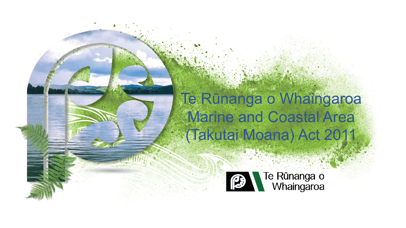#### Te Rūnanga o Whaingaroa Marine and Coastal Area (Takutai Moana) Act 2011

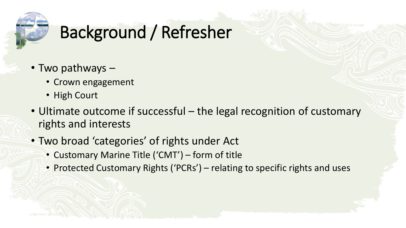

# Background / Refresher

- Two pathways
	- Crown engagement
	- High Court
- Ultimate outcome if successful the legal recognition of customary rights and interests
- Two broad 'categories' of rights under Act
	- Customary Marine Title ('CMT') form of title
	- Protected Customary Rights ('PCRs') relating to specific rights and uses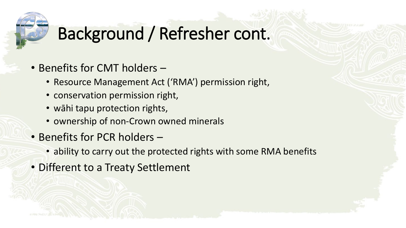

## Background / Refresher cont.

- Benefits for CMT holders
	- Resource Management Act ('RMA') permission right,
	- conservation permission right,
	- wāhi tapu protection rights,
	- ownership of non-Crown owned minerals
- Benefits for PCR holders
	- ability to carry out the protected rights with some RMA benefits
- Different to a Treaty Settlement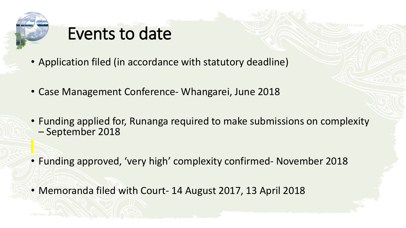

#### Events to date

- Application filed (in accordance with statutory deadline)
- Case Management Conference- Whangarei, June 2018
- Funding applied for, Runanga required to make submissions on complexity September 2018
- Funding approved, 'very high' complexity confirmed- November 2018
- Memoranda filed with Court- 14 August 2017, 13 April 2018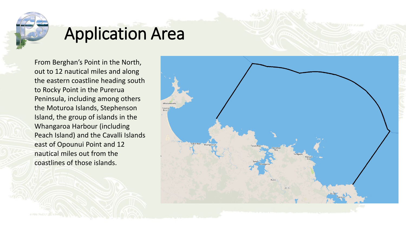

### Application Area

From Berghan's Point in the North, out to 12 nautical miles and along the eastern coastline heading south to Rocky Point in the Purerua Peninsula, including among others the Moturoa Islands, Stephenson Island, the group of islands in the Whangaroa Harbour (including Peach Island) and the Cavalli Islands east of Opounui Point and 12 nautical miles out from the coastlines of those islands.

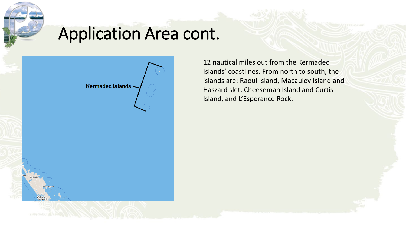

### Application Area cont.



12 nautical miles out from the Kermadec Islands' coastlines. From north to south, the islands are: Raoul Island, Macauley Island and Haszard slet, Cheeseman Island and Curtis Island, and L'Esperance Rock.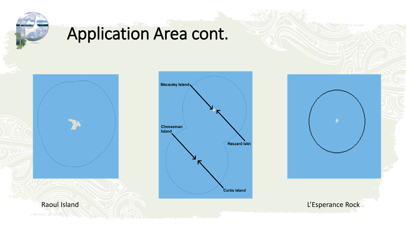

## Application Area cont.

Raoul Island L'Esperance Rock



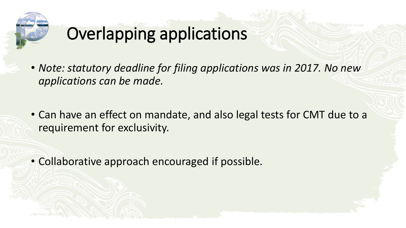

## Overlapping applications

- *Note: statutory deadline for filing applications was in 2017. No new applications can be made.*
- Can have an effect on mandate, and also legal tests for CMT due to a requirement for exclusivity.

• Collaborative approach encouraged if possible.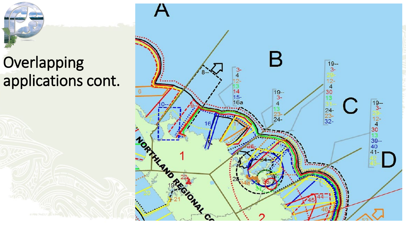## Overlapping applications cont.

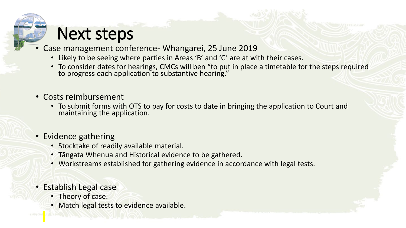### Next steps

- Case management conference- Whangarei, 25 June 2019
	- Likely to be seeing where parties in Areas 'B' and 'C' are at with their cases.
	- To consider dates for hearings, CMCs will ben "to put in place a timetable for the steps required to progress each application to substantive hearing."
- Costs reimbursement
	- To submit forms with OTS to pay for costs to date in bringing the application to Court and maintaining the application.
- Evidence gathering
	- Stocktake of readily available material.
	- Tāngata Whenua and Historical evidence to be gathered.
	- Workstreams established for gathering evidence in accordance with legal tests.
- Establish Legal case
	- Theory of case.
	- Match legal tests to evidence available.